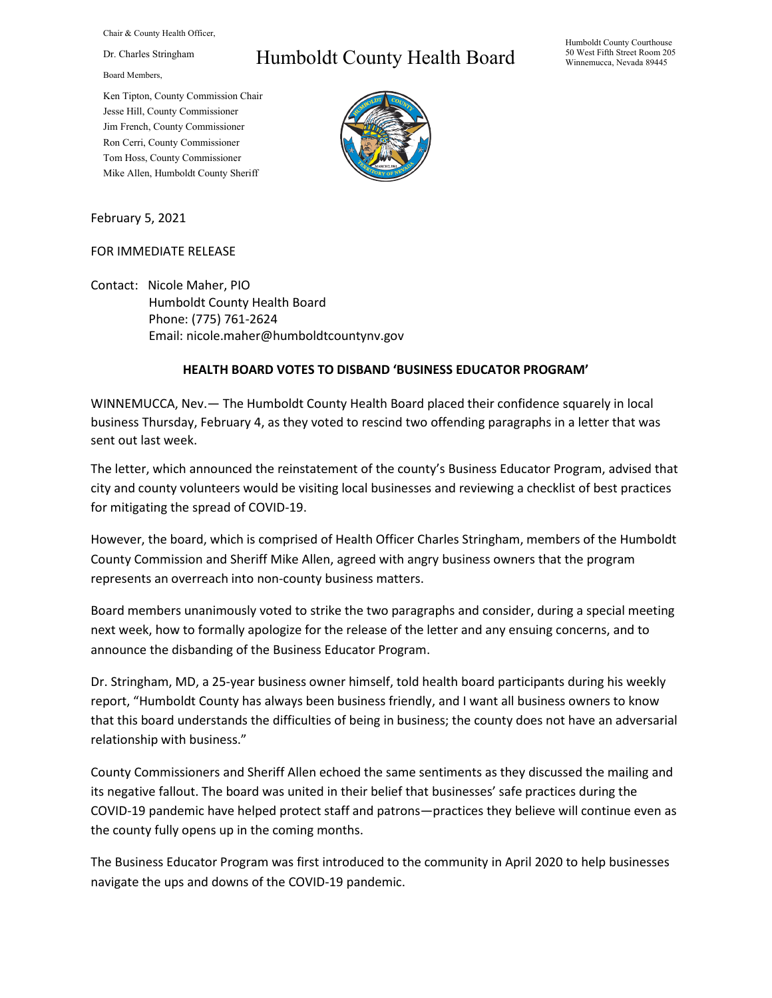Chair & County Health Officer,

Dr. Charles Stringham

Board Members,

Ken Tipton, County Commission Chair Jesse Hill, County Commissioner Jim French, County Commissioner Ron Cerri, County Commissioner Tom Hoss, County Commissioner Mike Allen, Humboldt County Sheriff

## Humboldt County Health Board



February 5, 2021

## FOR IMMEDIATE RELEASE

Contact: Nicole Maher, PIO Humboldt County Health Board Phone: (775) 761-2624 Email: nicole.maher@humboldtcountynv.gov

## **HEALTH BOARD VOTES TO DISBAND 'BUSINESS EDUCATOR PROGRAM'**

WINNEMUCCA, Nev.— The Humboldt County Health Board placed their confidence squarely in local business Thursday, February 4, as they voted to rescind two offending paragraphs in a letter that was sent out last week.

The letter, which announced the reinstatement of the county's Business Educator Program, advised that city and county volunteers would be visiting local businesses and reviewing a checklist of best practices for mitigating the spread of COVID-19.

However, the board, which is comprised of Health Officer Charles Stringham, members of the Humboldt County Commission and Sheriff Mike Allen, agreed with angry business owners that the program represents an overreach into non-county business matters.

Board members unanimously voted to strike the two paragraphs and consider, during a special meeting next week, how to formally apologize for the release of the letter and any ensuing concerns, and to announce the disbanding of the Business Educator Program.

Dr. Stringham, MD, a 25-year business owner himself, told health board participants during his weekly report, "Humboldt County has always been business friendly, and I want all business owners to know that this board understands the difficulties of being in business; the county does not have an adversarial relationship with business."

County Commissioners and Sheriff Allen echoed the same sentiments as they discussed the mailing and its negative fallout. The board was united in their belief that businesses' safe practices during the COVID-19 pandemic have helped protect staff and patrons—practices they believe will continue even as the county fully opens up in the coming months.

The Business Educator Program was first introduced to the community in April 2020 to help businesses navigate the ups and downs of the COVID-19 pandemic.